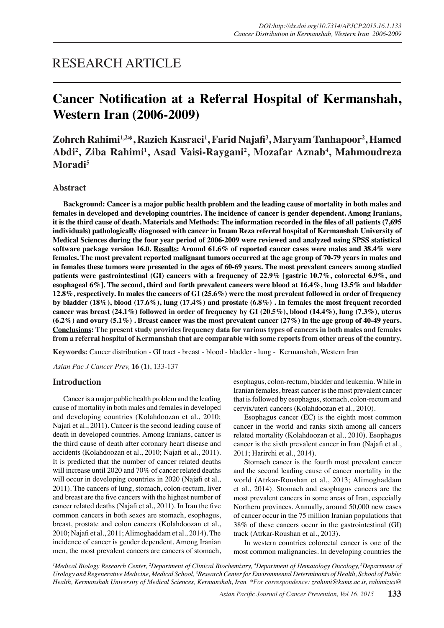## RESEARCH ARTICLE

# **Cancer Notification at a Referral Hospital of Kermanshah, Western Iran (2006-2009)**

**Zohreh Rahimi1,2\*, Razieh Kasraei1 , Farid Najafi<sup>3</sup> , Maryam Tanhapoor2 , Hamed Abdi2 , Ziba Rahimi1 , Asad Vaisi-Raygani2 , Mozafar Aznab4 , Mahmoudreza Moradi<sup>5</sup>**

## **Abstract**

**Background: Cancer is a major public health problem and the leading cause of mortality in both males and females in developed and developing countries. The incidence of cancer is gender dependent. Among Iranians, it is the third cause of death. Materials and Methods: The information recorded in the files of all patients (7,695 individuals) pathologically diagnosed with cancer in Imam Reza referral hospital of Kermanshah University of Medical Sciences during the four year period of 2006-2009 were reviewed and analyzed using SPSS statistical software package version 16.0. Results: Around 61.6% of reported cancer cases were males and 38.4% were females. The most prevalent reported malignant tumors occurred at the age group of 70-79 years in males and in females these tumors were presented in the ages of 60-69 years. The most prevalent cancers among studied patients were gastrointestinal (GI) cancers with a frequency of 22.9% [gastric 10.7%, colorectal 6.9%, and esophageal 6%]. The second, third and forth prevalent cancers were blood at 16.4%, lung 13.5% and bladder 12.8%, respectively. In males the cancers of GI (25.6%) were the most prevalent followed in order of frequency by bladder (18%), blood (17.6%), lung (17.4%) and prostate (6.8%) . In females the most frequent recorded cancer was breast (24.1%) followed in order of frequency by GI (20.5%), blood (14.4%), lung (7.3%), uterus (6.2%) and ovary (5.1%) . Breast cancer was the most prevalent cancer (27%) in the age group of 40-49 years. Conclusions: The present study provides frequency data for various types of cancers in both males and females from a referral hospital of Kermanshah that are comparable with some reports from other areas of the country.**

**Keywords:** Cancer distribution - GI tract - breast - blood - bladder - lung - Kermanshah, Western Iran

*Asian Pac J Cancer Prev,* **16 (1)**, 133-137

### **Introduction**

Cancer is a major public health problem and the leading cause of mortality in both males and females in developed and developing countries (Kolahdoozan et al., 2010; Najafi et al., 2011). Cancer is the second leading cause of death in developed countries. Among Iranians, cancer is the third cause of death after coronary heart disease and accidents (Kolahdoozan et al., 2010; Najafi et al., 2011). It is predicted that the number of cancer related deaths will increase until 2020 and 70% of cancer related deaths will occur in developing countries in 2020 (Najafi et al., 2011). The cancers of lung, stomach, colon-rectum, liver and breast are the five cancers with the highest number of cancer related deaths (Najafi et al., 2011). In Iran the five common cancers in both sexes are stomach, esophagus, breast, prostate and colon cancers (Kolahdoozan et al., 2010; Najafi et al., 2011; Alimoghaddam et al., 2014). The incidence of cancer is gender dependent. Among Iranian men, the most prevalent cancers are cancers of stomach, esophagus, colon-rectum, bladder and leukemia. While in Iranian females, breast cancer is the most prevalent cancer that is followed by esophagus, stomach, colon-rectum and cervix/uteri cancers (Kolahdoozan et al., 2010).

Esophagus cancer (EC) is the eighth most common cancer in the world and ranks sixth among all cancers related mortality (Kolahdoozan et al., 2010). Esophagus cancer is the sixth prevalent cancer in Iran (Najafi et al., 2011; Harirchi et al., 2014).

Stomach cancer is the fourth most prevalent cancer and the second leading cause of cancer mortality in the world (Atrkar-Roushan et al., 2013; Alimoghaddam et al., 2014). Stomach and esophagus cancers are the most prevalent cancers in some areas of Iran, especially Northern provinces. Annually, around 50,000 new cases of cancer occur in the 75 million Iranian populations that 38% of these cancers occur in the gastrointestinal (GI) track (Atrkar-Roushan et al., 2013).

In western countries colorectal cancer is one of the most common malignancies. In developing countries the

<sup>1</sup>Medical Biology Research Center, <sup>2</sup>Department of Clinical Biochemistry, <sup>4</sup>Department of Hematology Oncology, <sup>5</sup>Department of *Urology and Regenerative Medicine, Medical School, 3 Research Center for Environmental Determinants of Health, School of Public Health, Kermanshah University of Medical Sciences, Kermanshah, Iran \*For correspondence: zrahimi@kums.ac.ir, rahimizus@*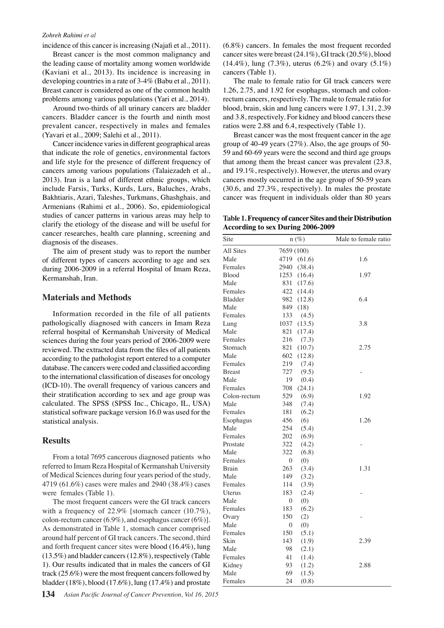#### *Zohreh Rahimi et al*

incidence of this cancer is increasing (Najafi et al., 2011).

Breast cancer is the most common malignancy and the leading cause of mortality among women worldwide (Kaviani et al., 2013). Its incidence is increasing in developing countries in a rate of 3-4% (Babu et al., 2011). Breast cancer is considered as one of the common health problems among various populations (Yari et al., 2014).

Around two-thirds of all urinary cancers are bladder cancers. Bladder cancer is the fourth and ninth most prevalent cancer, respectively in males and females (Yavari et al., 2009; Salehi et al., 2011).

Cancer incidence varies in different geographical areas that indicate the role of genetics, environmental factors and life style for the presence of different frequency of cancers among various populations (Talaiezadeh et al., 2013). Iran is a land of different ethnic groups, which include Farsis, Turks, Kurds, Lurs, Baluches, Arabs, Bakhtiaris, Azari, Taleshes, Turkmans, Ghashghais, and Armenians (Rahimi et al., 2006). So, epidemiological studies of cancer patterns in various areas may help to clarify the etiology of the disease and will be useful for cancer researches, health care planning, screening and diagnosis of the diseases.

The aim of present study was to report the number of different types of cancers according to age and sex during 2006-2009 in a referral Hospital of Imam Reza, Kermanshah, Iran.

## **Materials and Methods**

Information recorded in the file of all patients pathologically diagnosed with cancers in Imam Reza referral hospital of Kermanshah University of Medical sciences during the four years period of 2006-2009 were reviewed. The extracted data from the files of all patients according to the pathologist report entered to a computer database. The cancers were coded and classified according to the international classification of diseases for oncology (ICD-10). The overall frequency of various cancers and their stratification according to sex and age group was calculated. The SPSS (SPSS Inc., Chicago, IL, USA) statistical software package version 16.0 was used for the statistical analysis.

#### **Results**

From a total 7695 cancerous diagnosed patients who referred to Imam Reza Hospital of Kermanshah University of Medical Sciences during four years period of the study, 4719 (61.6%) cases were males and 2940 (38.4%) cases were females (Table 1).

The most frequent cancers were the GI track cancers with a frequency of 22.9% [stomach cancer (10.7%), colon-rectum cancer (6.9%), and esophagus cancer (6%)]. As demonstrated in Table 1, stomach cancer comprised around half percent of GI track cancers. The second, third and forth frequent cancer sites were blood (16.4%), lung (13.5%) and bladder cancers (12.8%), respectively (Table 1). Our results indicated that in males the cancers of GI track (25.6%) were the most frequent cancers followed by bladder (18%), blood (17.6%), lung (17.4%) and prostate

(6.8%) cancers. In females the most frequent recorded cancer sites were breast (24.1%), GI track (20.5%), blood (14.4%), lung (7.3%), uterus (6.2%) and ovary (5.1%) cancers (Table 1).

The male to female ratio for GI track cancers were 1.26, 2.75, and 1.92 for esophagus, stomach and colonrectum cancers, respectively. The male to female ratio for blood, brain, skin and lung cancers were 1.97, 1.31, 2.39 and 3.8, respectively. For kidney and blood cancers these ratios were 2.88 and 6.4, respectively (Table 1).

Breast cancer was the most frequent cancer in the age group of 40-49 years (27%). Also, the age groups of 50- 59 and 60-69 years were the second and third age groups that among them the breast cancer was prevalent (23.8, and 19.1%, respectively). However, the uterus and ovary cancers mostly occurred in the age group of 50-59 years (30.6, and 27.3%, respectively). In males the prostate cancer was frequent in individuals older than 80 years

**Table 1. Frequency of cancer Sites and their Distribution According to sex During 2006-2009**

| All Sites<br>7659 (100)         |      |
|---------------------------------|------|
|                                 |      |
| Male<br>4719<br>(61.6)          | 1.6  |
| Females<br>2940<br>(38.4)       |      |
| 1253<br><b>Blood</b><br>(16.4)  | 1.97 |
| 831<br>Male<br>(17.6)           |      |
| Females<br>422<br>(14.4)        |      |
| <b>Bladder</b><br>982<br>(12.8) | 6.4  |
| Male<br>849<br>(18)             |      |
| Females<br>133<br>(4.5)         |      |
| (13.5)<br>1037<br>Lung          | 3.8  |
| Male<br>821<br>(17.4)           |      |
| Females<br>216<br>(7.3)         |      |
| 821<br>Stomach<br>(10.7)        | 2.75 |
| Male<br>602<br>(12.8)           |      |
| 219<br>(7.4)<br>Females         |      |
| 727<br>(9.5)<br><b>Breast</b>   |      |
| Male<br>19<br>(0.4)             |      |
| Females<br>708<br>(24.1)        |      |
| 529<br>Colon-rectum<br>(6.9)    | 1.92 |
| Male<br>348<br>(7.4)            |      |
| Females<br>181<br>(6.2)         |      |
| Esophagus<br>456<br>(6)         | 1.26 |
| Male<br>254<br>(5.4)            |      |
| 202<br>Females<br>(6.9)         |      |
| 322<br>(4.2)<br>Prostate        |      |
| Male<br>322<br>(6.8)            |      |
| Females<br>0<br>(0)             |      |
| 263<br>(3.4)<br><b>Brain</b>    | 1.31 |
| Male<br>149<br>(3.2)            |      |
| Females<br>114<br>(3.9)         |      |
| Uterus<br>183<br>(2.4)          |      |
| Male<br>$\boldsymbol{0}$<br>(0) |      |
| Females<br>183<br>(6.2)         |      |
| 150<br>(2)<br>Ovary             |      |
| Male<br>0<br>(0)                |      |
| Females<br>150<br>(5.1)         |      |
| Skin<br>143<br>(1.9)            | 2.39 |
| 98<br>(2.1)<br>Male             |      |
| Females<br>41<br>(1.4)          |      |
| Kidney<br>93<br>(1.2)           | 2.88 |
| 69<br>Male<br>(1.5)             |      |
| 24<br>Females<br>(0.8)          |      |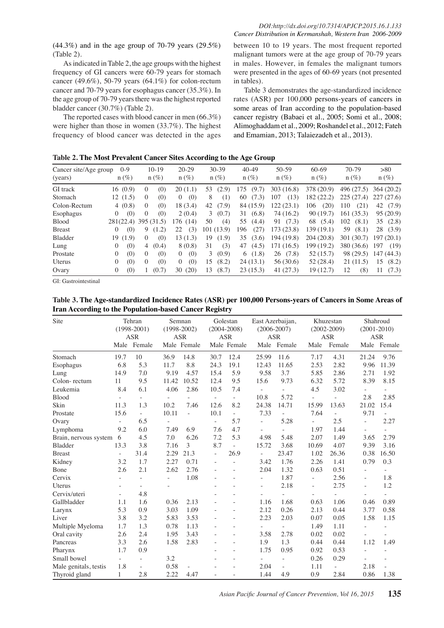(44.3%) and in the age group of 70-79 years (29.5%) (Table 2).

As indicated in Table 2, the age groups with the highest frequency of GI cancers were 60-79 years for stomach cancer (49.6%), 50-79 years (64.1%) for colon-rectum cancer and 70-79 years for esophagus cancer (35.3%). In the age group of 70-79 years there was the highest reported bladder cancer (30.7%) (Table 2).

The reported cases with blood cancer in men (66.3%) were higher than those in women (33.7%). The highest frequency of blood cancer was detected in the ages

between 10 to 19 years. The most frequent reported malignant tumors were at the age group of 70-79 years in males. However, in females the malignant tumors were presented in the ages of 60-69 years (not presented in tables).

Table 3 demonstrates the age-standardized incidence rates (ASR) per 100,000 persons-years of cancers in some areas of Iran according to the population-based cancer registry (Babaei et al., 2005; Somi et al., 2008; Alimoghaddam et al., 2009; Roshandel et al., 2012; Fateh and Emamian, 2013; Talaiezadeh et al., 2013).

**Table 2. The Most Prevalent Cancer Sites According to the Age Group**

| Cancer site/Age group<br>(years) | $0-9$<br>$n(\%)$        | $10-19$<br>$n(\%)$      | $20 - 29$<br>$n(\%)$ | 30-39<br>$n(\%)$ | $40-49$<br>$n(\%)$ | 50-59<br>$n(\%)$ | 60-69<br>$n(\%)$ | 70-79<br>$n(\%)$ | > 80<br>$n(\%)$ |
|----------------------------------|-------------------------|-------------------------|----------------------|------------------|--------------------|------------------|------------------|------------------|-----------------|
| GI track                         | 16(0.9)                 | (0)<br>0                | 20(1.1)              | 53<br>(2.9)      | (9.7)<br>175       | 303 (16.8)       | 378 (20.9)       | 496 (27.5)       | 364(20.2)       |
| Stomach                          | 12(1.5)                 | (0)<br>$\left($         | (0)<br>$\left($      | 8<br>(1)         | (7.3)<br>60        | (13)<br>107      | 182 (22.2)       | 225(27.4)        | 227(27.6)       |
| Colon-Rectum                     | 4(0.8)                  | (0)<br>$\left($         | 18 (3.4)             | 42<br>(7.9)      | 84 (15.9)          | 122 (23.1)       | (20)<br>106      | (21)<br>110      | 42<br>(7.9)     |
| Esophagus                        | (0)<br>$\theta$         | (0)<br>$\left($         | 2(0.4)               | (0.7)<br>3       | (6.8)<br>31        | 74 (16.2)        | 90(19.7)         | 161(35.3)        | 95(20.9)        |
| <b>Blood</b>                     | 281(22.4)               | 395 (31.5)              | 176 (14)             | 50<br>(4)        | 55<br>(4.4)        | (7.3)<br>91      | 68<br>(5.4)      | 102<br>(8.1)     | 35<br>(2.8)     |
| <b>Breast</b>                    | (0)<br>$\left( \right)$ | (1.2)<br>9.             | (3)<br>22            | 101 (13.9)       | (27)<br>196        | 173(23.8)        | 139 (19.1)       | 59<br>(8.1)      | 28<br>(3.9)     |
| Bladder                          | (1.9)<br>19             | (0)<br>$\left($         | 13(1.3)              | (1.9)<br>19      | 35<br>(3.6)        | 194 (19.8)       | 204 (20.8)       | 301 (30.7)       | 197(20.1)       |
| Lung                             | (0)<br>$\theta$         | $\overline{4}$<br>(0.4) | 8(0.8)               | (3)<br>31        | (4.5)<br>47        | 171 (16.5)       | 199 (19.2)       | 380 (36.6)       | 197<br>(19)     |
| Prostate                         | (0)<br>$\theta$         | (0)<br>$\Omega$         | (0)<br>$\Omega$      | (0.9)<br>3       | (1.8)<br>6         | 26(7.8)          | 52(15.7)         | 98 (29.5)        | 147(44.3)       |
| Uterus                           | (0)<br>$\theta$         | (0)<br>$\mathbf{0}$     | (0)<br>$\theta$      | (8.2)<br>15      | 24(13.1)           | 56 (30.6)        | 52(28.4)         | 21(11.5)         | 15<br>(8.2)     |
| Ovary                            | (0)<br>$\theta$         | (0.7)                   | (20)<br>30           | (8.7)<br>13      | 23(15.3)           | 41(27.3)         | 19(12.7)         | (8)<br>12        | (7.3)<br>11     |

GI: Gastrointestinal

**Table 3. The Age-standardized Incidence Rates (ASR) per 100,000 Persons-years of Cancers in Some Areas of Iran According to the Population-based Cancer Registry**

| Site                    | Tehran<br>$(1998-2001)$<br><b>ASR</b> |             | Semnan<br>$(1998 - 2002)$<br><b>ASR</b> |                          | Golestan<br>$(2004 - 2008)$<br><b>ASR</b> |             | East Azerbaijan,<br>$(2006 - 2007)$<br><b>ASR</b> |                          | Khuzestan<br>$(2002 - 2009)$<br><b>ASR</b> |        | Shahroud<br>$(2001 - 2010)$<br><b>ASR</b> |                          |
|-------------------------|---------------------------------------|-------------|-----------------------------------------|--------------------------|-------------------------------------------|-------------|---------------------------------------------------|--------------------------|--------------------------------------------|--------|-------------------------------------------|--------------------------|
|                         |                                       | Male Female |                                         | Male Female              |                                           | Male Female |                                                   | Male Female              | Male                                       | Female |                                           | Male Female              |
| Stomach                 | 19.7                                  | 10          | 36.9                                    | 14.8                     | 30.7                                      | 12.4        | 25.99                                             | 11.6                     | 7.17                                       | 4.31   | 21.24                                     | 9.76                     |
| Esophagus               | 6.8                                   | 5.3         | 11.7                                    | 8.8                      | 24.3                                      | 19.1        | 12.43                                             | 11.65                    | 2.53                                       | 2.82   | 9.96                                      | 11.39                    |
| Lung                    | 14.9                                  | 7.0         | 9.19                                    | 4.57                     | 15.4                                      | 5.9         | 9.58                                              | 3.7                      | 5.85                                       | 2.86   | 2.71                                      | 1.92                     |
| Colon-rectum            | 11                                    | 9.5         | 11.42                                   | 10.52                    | 12.4                                      | 9.5         | 15.6                                              | 9.73                     | 6.32                                       | 5.72   | 8.39                                      | 8.15                     |
| Leukemia                | 8.4                                   | 6.1         | 4.06                                    | 2.86                     | 10.5                                      | 7.4         | $\overline{a}$                                    | $\overline{a}$           | 4.5                                        | 3.02   |                                           | $\overline{\phantom{0}}$ |
| Blood                   | ÷,                                    | ÷.          |                                         | $\overline{\phantom{a}}$ | $\sim$                                    | u.          | 10.8                                              | 5.72                     |                                            |        | 2.8                                       | 2.85                     |
| Skin                    | 11.3                                  | 1.3         | 10.2                                    | 7.46                     | 12.6                                      | 8.2         | 24.38                                             | 14.71                    | 15.99                                      | 13.63  | 21.02                                     | 15.4                     |
| Prostate                | 15.6                                  | ÷.          | 10.11                                   | $\mathbf{r}$             | 10.1                                      | $\sim$      | 7.33                                              | $\overline{a}$           | 7.64                                       | L,     | 9.71                                      | L.                       |
| Ovary                   | $\frac{1}{2}$                         | 6.5         |                                         |                          | $\bar{a}$                                 | 5.7         | $\overline{\phantom{a}}$                          | 5.28                     |                                            | 2.5    |                                           | 2.27                     |
| Lymphoma                | 9.2                                   | 6.0         | 7.49                                    | 6.9                      | 7.6                                       | 4.7         |                                                   | $\overline{a}$           | 1.97                                       | 1.44   |                                           | $\sim$                   |
| Brain, nervous system 6 |                                       | 4.5         | 7.0                                     | 6.26                     | 7.2                                       | 5.3         | 4.98                                              | 5.48                     | 2.07                                       | 1.49   | 3.65                                      | 2.79                     |
| <b>Bladder</b>          | 13.3                                  | 3.8         | 7.16                                    | 3                        | 8.7                                       |             | 15.72                                             | 3.68                     | 10.69                                      | 4.07   | 9.39                                      | 3.16                     |
| <b>Breast</b>           | ÷,                                    | 31.4        | 2.29                                    | 21.3                     | $\overline{\phantom{a}}$                  | 26.9        | $\overline{\phantom{a}}$                          | 23.47                    | 1.02                                       | 26.36  | 0.38                                      | 16.50                    |
| Kidney                  | 3.2                                   | 1.7         | 2.27                                    | 0.71                     | ÷.                                        |             | 3.42                                              | 1.76                     | 2.26                                       | 1.41   | 0.79                                      | 0.3                      |
| Bone                    | 2.6                                   | 2.1         | 2.62                                    | 2.76                     |                                           |             | 2.04                                              | 1.32                     | 0.63                                       | 0.51   |                                           | $\sim$                   |
| Cervix                  |                                       |             |                                         | 1.08                     |                                           |             |                                                   | 1.87                     |                                            | 2.56   | ÷.                                        | 1.8                      |
| <b>Uterus</b>           |                                       | ÷.          |                                         |                          |                                           |             |                                                   | 2.18                     | -                                          | 2.75   | ÷.                                        | 1.2                      |
| Cervix/uteri            | ÷,                                    | 4.8         |                                         |                          |                                           |             |                                                   | $\overline{a}$           |                                            | ÷,     |                                           | ÷.                       |
| Gallbladder             | 1.1                                   | 1.6         | 0.36                                    | 2.13                     |                                           |             | 1.16                                              | 1.68                     | 0.63                                       | 1.06   | 0.46                                      | 0.89                     |
| Larynx                  | 5.3                                   | 0.9         | 3.03                                    | 1.09                     |                                           |             | 2.12                                              | 0.26                     | 2.13                                       | 0.44   | 3.77                                      | 0.58                     |
| Liver                   | 3.8                                   | 3.2         | 5.83                                    | 3.53                     |                                           |             | 2.23                                              | 2.03                     | 0.07                                       | 0.05   | 1.58                                      | 1.15                     |
| Multiple Myeloma        | 1.7                                   | 1.3         | 0.78                                    | 1.13                     |                                           |             | $\overline{\phantom{0}}$                          | $\overline{a}$           | 1.49                                       | 1.11   | ×.                                        | ×.                       |
| Oral cavity             | 2.6                                   | 2.4         | 1.95                                    | 3.43                     |                                           |             | 3.58                                              | 2.78                     | 0.02                                       | 0.02   |                                           |                          |
| Pancreas                | 3.3                                   | 2.6         | 1.58                                    | 2.83                     |                                           |             | 1.9                                               | 1.3                      | 0.44                                       | 0.44   | 1.12                                      | 1.49                     |
| Pharynx                 | 1.7                                   | 0.9         |                                         |                          |                                           |             | 1.75                                              | 0.95                     | 0.92                                       | 0.53   |                                           |                          |
| Small bowel             | $\overline{\phantom{a}}$              | ÷.          | 3.2                                     |                          |                                           |             |                                                   | $\bar{a}$                | 0.26                                       | 0.29   |                                           |                          |
| Male genitals, testis   | 1.8                                   | L.          | 0.58                                    |                          |                                           |             | 2.04                                              | $\overline{\phantom{a}}$ | 1.11                                       |        | 2.18                                      |                          |
| Thyroid gland           | 1                                     | 2.8         | 2.22                                    | 4.47                     |                                           |             | 1.44                                              | 4.9                      | 0.9                                        | 2.84   | 0.86                                      | 1.38                     |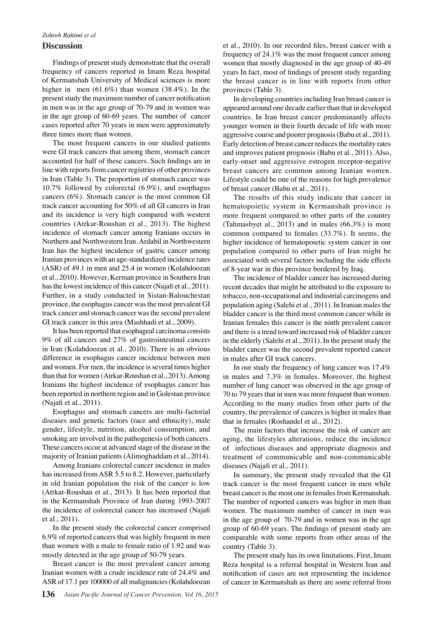## *Zohreh Rahimi et al*

## **Discussion**

Findings of present study demonstrate that the overall frequency of cancers reported in Imam Reza hospital of Kermanshah University of Medical sciences is more higher in men (61.6%) than women (38.4%). In the present study the maximum number of cancer notification in men was in the age group of 70-79 and in women was in the age group of 60-69 years. The number of cancer cases reported after 70 years in men were approximately three times more than women.

The most frequent cancers in our studied patients were GI track cancers that among them, stomach cancer accounted for half of these cancers. Such findings are in line with reports from cancer registries of other provinces in Iran (Table 3). The proportion of stomach cancer was 10.7% followed by colorectal (6.9%), and esophagus cancers (6%). Stomach cancer is the most common GI track cancer accounting for 50% of all GI cancers in Iran and its incidence is very high compared with western countries (Atrkar-Roushan et al., 2013). The highest incidence of stomach cancer among Iranians occurs in Northern and Northwestern Iran. Ardabil in Northwestern Iran has the highest incidence of gastric cancer among Iranian provinces with an age-standardized incidence rates (ASR) of 49.1 in men and 25.4 in women (Kolahdoozan et al., 2010). However, Kerman province in Southern Iran has the lowest incidence of this cancer (Najafi et al., 2011). Further, in a study conducted in Sistan-Balouchestan province, the esophagus cancer was the most prevalent GI track cancer and stomach cancer was the second prevalent GI track cancer in this area (Mashhadi et al., 2009).

It has been reported that esophageal carcinoma consists 9% of all cancers and 27% of gastrointestinal cancers in Iran (Kolahdoozan et al., 2010). There is an obvious difference in esophagus cancer incidence between men and women. For men, the incidence is several times higher than that for women (Atrkar-Roushan et al., 2013). Among Iranians the highest incidence of esophagus cancer has been reported in northern region and in Golestan province (Najafi et al., 2011).

Esophagus and stomach cancers are multi-factorial diseases and genetic factors (race and ethnicity), male gender, lifestyle, nutrition, alcohol consumption, and smoking are involved in the pathogenesis of both cancers. These cancers occur at advanced stage of the disease in the majority of Iranian patients (Alimoghaddam et al., 2014).

Among Iranians colorectal cancer incidence in males has increased from ASR 5.5 to 8.2. However, particularly in old Iranian population the risk of the cancer is low (Atrkar-Roushan et al., 2013). It has been reported that in the Kermanshah Province of Iran during 1993-2007 the incidence of colorectal cancer has increased (Najafi et al., 2011).

In the present study the colorectal cancer comprised 6.9% of reported cancers that was highly frequent in men than women with a male to female ratio of 1.92 and was mostly detected in the age group of 50-79 years.

Breast cancer is the most prevalent cancer among Iranian women with a crude incidence rate of 24.4% and ASR of 17.1 per 100000 of all malignancies (Kolahdoozan

In developing countries including Iran breast cancer is appeared around one decade earlier than that in developed countries. In Iran breast cancer predominantly affects younger women in their fourth decade of life with more aggressive course and poorer prognosis (Babu et al., 2011). Early detection of breast cancer reduces the mortality rates and improves patient prognosis (Babu et al., 2011). Also, early-onset and aggressive estrogen receptor-negative breast cancers are common among Iranian women. Lifestyle could be one of the reasons for high prevalence of breast cancer (Babu et al., 2011).

The results of this study indicate that cancer in hematopoietic system in Kermanshah province is more frequent compared to other parts of the country (Tahmasbyet al., 2013) and in males (66.3%) is more common compared to females (33.7%). It seems, the higher incidence of hematopoietic system cancer in our population compared to other parts of Iran might be associated with several factors including the side effects of 8-year war in this province bordered by Iraq.

The incidence of bladder cancer has increased during recent decades that might be attributed to the exposure to tobacco, non-occupational and industrial carcinogens and population aging (Salehi et al., 2011). In Iranian males the bladder cancer is the third most common cancer while in Iranian females this cancer is the ninth prevalent cancer and there is a trend toward increased risk of bladder cancer in the elderly (Salehi et al., 2011). In the present study the bladder cancer was the second prevalent reported cancer in males after GI track cancers.

In our study the frequency of lung cancer was 17.4% in males and 7.3% in females. Moreover, the highest number of lung cancer was observed in the age group of 70 to 79 years that in men was more frequent than women. According to the many studies from other parts of the country, the prevalence of cancers is higher in males than that in females (Roshandel et al., 2012).

The main factors that increase the risk of cancer are aging, the lifestyles alterations, reduce the incidence of infectious diseases and appropriate diagnosis and treatment of communicable and non-communicable diseases (Najafi et al., 2011).

In summary, the present study revealed that the GI track cancer is the most frequent cancer in men while breast cancer is the most one in females from Kermanshah. The number of reported cancers was higher in men than women. The maximum number of cancer in men was in the age group of 70-79 and in women was in the age group of 60-69 years. The findings of present study are comparable with some reports from other areas of the country (Table 3).

The present study has its own limitations. First, Imam Reza hospital is a referral hospital in Western Iran and notification of cases are not representing the incidence of cancer in Kermanshah as there are some referral from